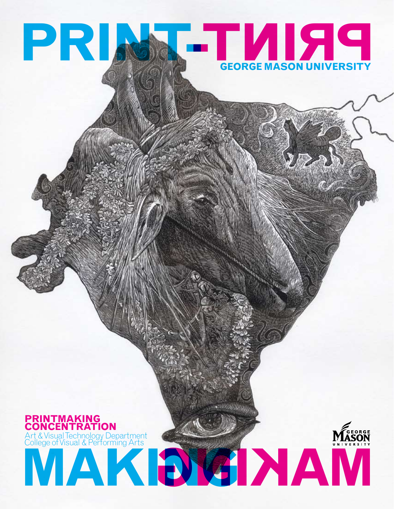# **PRINCIPAL PRINT-George Mason University**

# **MAKING MAKING Printmaking Concentration** Art & Visual Technology Department College of Visual & Performing Arts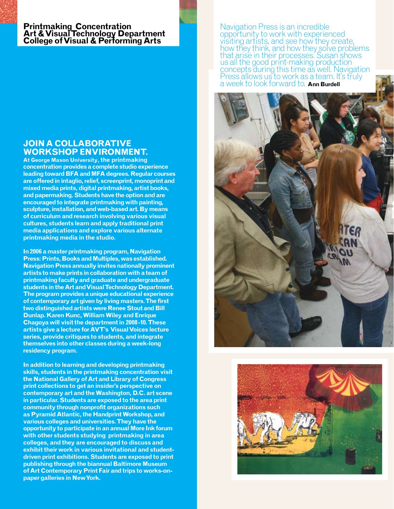# **Printmaking Concentration Art & Visual Technology Department College of Visual & Performing Arts**

### **Join a collaborative workshop environment.**

**At George Mason University, the printmaking concentration provides a complete studio experience leading toward BFA and MFA degrees. Regular courses are offered in intaglio, relief, screenprint, monoprint and mixed media prints, digital printmaking, artist books, and papermaking. Students have the option and are encouraged to integrate printmaking with painting, sculpture, installation, and web-based art. By means of curriculum and research involving various visual cultures, students learn and apply traditional print media applications and explore various alternate printmaking media in the studio.**

**In 2006 a master printmaking program, Navigation Press: Prints, Books and Multiples, was established. Navigation Press annually invites nationally prominent artists to make prints in collaboration with a team of printmaking faculty and graduate and undergraduate students in the Art and Visual Technology Department. The program provides a unique educational experience of contemporary art given by living masters. The first two distinguished artists were Renee Stout and Bill Dunlap. Karen Kunc, William Wiley and Enrique Chagoya will visit the department in 2008-10. These artists give a lecture for AVT's Visual Voices lecture series, provide critiques to students, and integrate themselves into other classes during a week-long residency program.** 

**In addition to learning and developing printmaking skills, students in the printmaking concentration visit the National Gallery of Art and Library of Congress print collections to get an insider's perspective on contemporary art and the Washington, D.C. art scene in particular. Students are exposed to the area print community through nonprofit organizations such as Pyramid Atlantic, the Handprint Workshop, and various colleges and universities. They have the opportunity to participate in an annual More Ink forum with other students studying printmaking in area colleges, and they are encouraged to discuss and exhibit their work in various invitational and studentdriven print exhibitions. Students are exposed to print publishing through the biannual Baltimore Museum of Art Contemporary Print Fair and trips to works-onpaper galleries in New York.**

Navigation Press is an incredible opportunity to work with experienced visiting artists, and see how they create, how they think, and how they solve problems that arise in their processes. Susan shows us all the good print-making production concepts during this time as well. Navigation Press allows us to work as a team. It's truly a week to look forward to. **Ann Burdell**



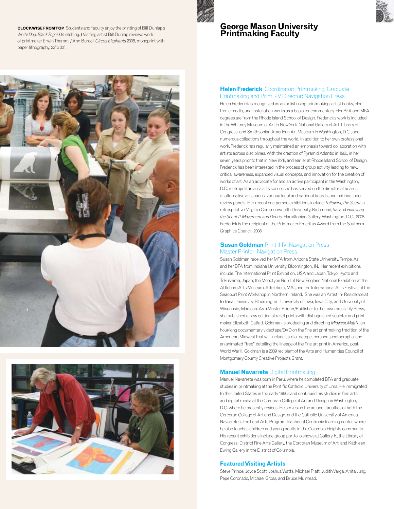**CLOCKWISE FROM TOP** Students and faculty enjoy the printing of Bill Dunlap's *White Dog, Black Fog* 2008, etching. **/** Visiting artist Bill Dunlap reviews work of printmaker Erwin Thamm. **/** Ann Burdell*Circus Elephants* 2008, monoprint with paper lithography, 22"x 30".



#### **George Mason University Printmaking Faculty**





#### **Helen Frederick** Coordinator: Printmaking Graduate Printmaking and Print I-IV Director: Navigation Press

Helen Frederick is recognized as an artist using printmaking, artist books, electronic media, and installation works as a basis for commentary. Her BFA and MFA degrees are from the Rhode Island School of Design. Frederick's work is included in the Whitney Museum of Art in New York, National Gallery of Art, Library of Congress, and Smithsonian American Art Museum in Washington, D.C., and numerous collections throughout the world. In addition to her own professional work, Frederick has regularly maintained an emphasis toward collaboration with artists across disciplines. With the creation of Pyramid Atlantic in 1980, in her seven years prior to that in New York, and earlier at Rhode Island School of Design, Frederick has been interested in the process of group activity leading to new, critical awareness, expanded visual concepts, and innovation for the creation of works of art. As an advocate for and an active participant in the Washington, D.C. metropolitan area arts scene, she has served on the directorial boards of alternative art spaces, various local and national boards, and national peerreview panels. Her recent one person exhibitions include: *Following the Scent,* a retrospective, Virginia Commonwealth University, Richmond, Va. and *Following the Scent II-Movement and Debris,* Hamiltonian Gallery, Washington, D.C., 2008. Frederick is the recipient of the Printmaker Emeritus Award from the Southern Graphics Council, 2008.

#### **Susan Goldman** Print II-IV: Navigation Press Master Printer: Navigation Press

Susan Goldman received her MFA from Arizona State University, Tempe, Az. and her BFA from Indiana University, Bloomington, IN. Her recent exhibitions include: The International Print Exhibition, USA and Japan, Tokyo, Kyoto and Tokushima, Japan; the Monotype Guild of New England National Exhibition at the Attleboro Arts Museum, Atteleboro, MA.; and the International Arts Festival at the Seacourt Print Workshop in Northern Ireland. She was an Artist-in- Residence at Indiana University, Bloomington; University of Iowa, Iowa City; and University of Wisconsin, Madison. As a Master Printer/Publisher for her own press Lily Press, she published a new edition of relief prints with distinguished sculptor and printmaker Elizabeth Catlett. Goldman is producing and directing *Midwest Matrix,* an hour-long documentary videotape/DVD on the fine art printmaking tradition of the American Midwest that will include studio footage, personal photographs, and an animated "tree" detailing the lineage of the fine art print in America, post-World War II. Goldman is a 2009 recipient of the Arts and Humanities Council of Montgomery County Creative Projects Grant.

#### **Manuel Navarrete** Digital Printmaking

Manuel Navarrete was born in Peru, where he completed BFA and graduate studies in printmaking at the Pontific Catholic University of Lima. He immigrated to the United States in the early 1990s and continued his studies in fine arts and digital media at the Corcoran College of Art and Design in Washington, D.C. where he presently resides. He serves on the adjunct faculties of both the Corcoran College of Art and Design, and the Catholic University of America. Navarrete is the Lead Arts Program Teacher at Centronia learning center, where he also teaches children and young adults in the Columbia Heights community. His recent exhibitions include group portfolio shows at Gallery K, the Library of Congress, District Fine Arts Gallery, the Corcoran Museum of Art, and Kathleen Ewing Gallery in the District of Columbia.

#### **Featured Visiting Artists**

Steve Prince, Joyce Scott, Joshua Watts, Michael Platt, Judith Varga, Anita Jung, Pepe Coronado, Michael Gross, and Bruce Muirhead.